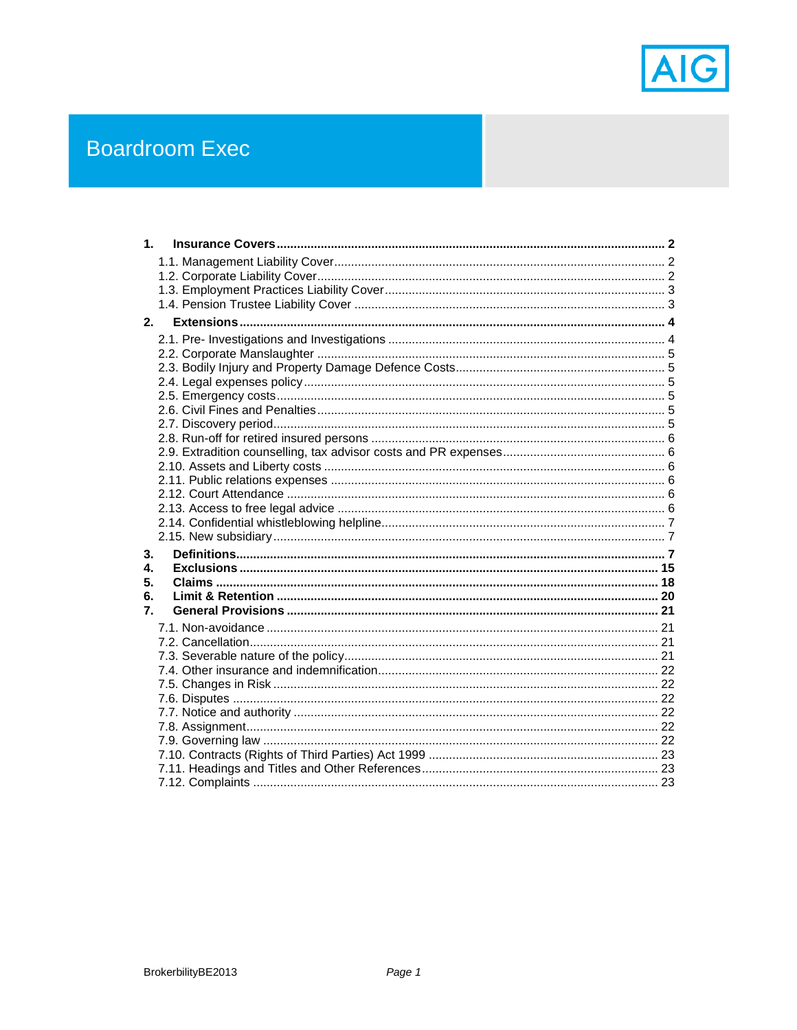

# **Boardroom Exec**

| 1 <sup>1</sup> |  |
|----------------|--|
|                |  |
|                |  |
|                |  |
|                |  |
| 2.             |  |
|                |  |
|                |  |
|                |  |
|                |  |
|                |  |
|                |  |
|                |  |
|                |  |
|                |  |
|                |  |
|                |  |
|                |  |
|                |  |
| 3.             |  |
| $\mathbf{4}$   |  |
| 5.             |  |
| 6.             |  |
| 7.             |  |
|                |  |
|                |  |
|                |  |
|                |  |
|                |  |
|                |  |
|                |  |
|                |  |
|                |  |
|                |  |
|                |  |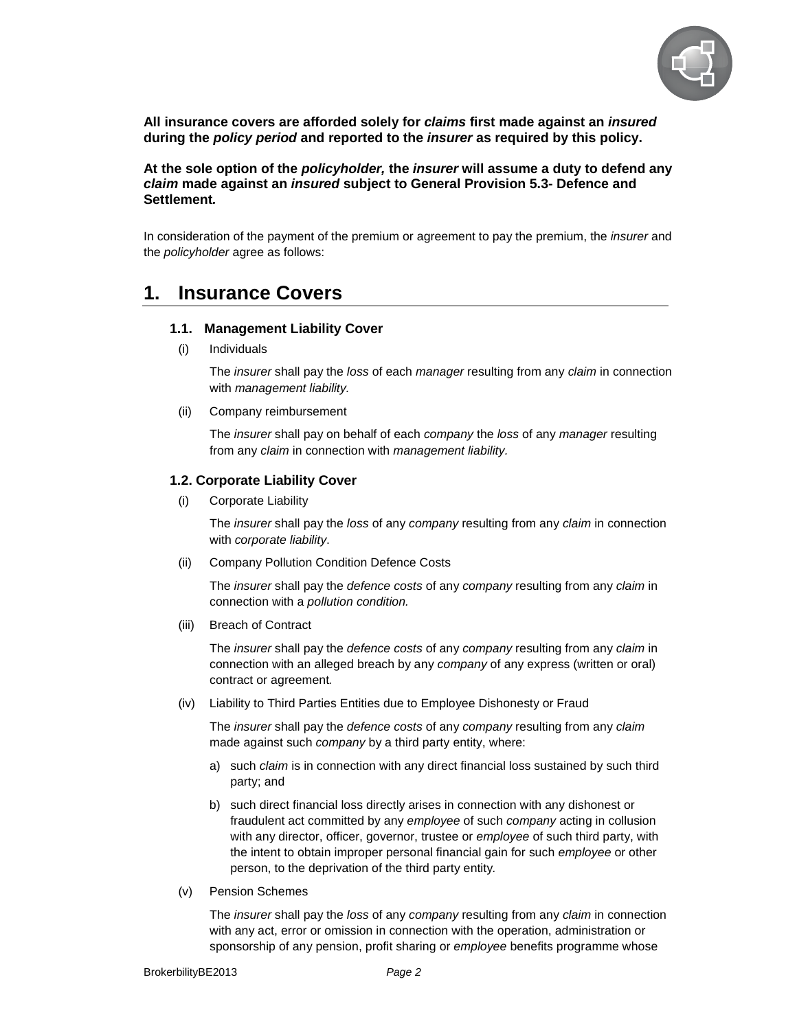

**All insurance covers are afforded solely for claims first made against an insured during the policy period and reported to the insurer as required by this policy.** 

**At the sole option of the policyholder, the insurer will assume a duty to defend any claim made against an insured subject to General Provision 5.3- Defence and Settlement.** 

In consideration of the payment of the premium or agreement to pay the premium, the *insurer* and the policyholder agree as follows:

# **1. Insurance Covers**

#### **1.1. Management Liability Cover**

(i) Individuals

The insurer shall pay the loss of each manager resulting from any claim in connection with management liability.

(ii) Company reimbursement

The *insurer* shall pay on behalf of each *company* the *loss* of any *manager* resulting from any claim in connection with management liability.

#### **1.2. Corporate Liability Cover**

(i) Corporate Liability

The *insurer* shall pay the *loss* of any *company* resulting from any *claim* in connection with corporate liability.

(ii) Company Pollution Condition Defence Costs

The insurer shall pay the defence costs of any company resulting from any claim in connection with a pollution condition.

(iii) Breach of Contract

The *insurer* shall pay the *defence costs* of any *company* resulting from any *claim* in connection with an alleged breach by any company of any express (written or oral) contract or agreement.

(iv) Liability to Third Parties Entities due to Employee Dishonesty or Fraud

The *insurer* shall pay the *defence costs* of any *company* resulting from any *claim* made against such company by a third party entity, where:

- a) such claim is in connection with any direct financial loss sustained by such third party; and
- b) such direct financial loss directly arises in connection with any dishonest or fraudulent act committed by any employee of such company acting in collusion with any director, officer, governor, trustee or employee of such third party, with the intent to obtain improper personal financial gain for such employee or other person, to the deprivation of the third party entity.
- (v) Pension Schemes

The insurer shall pay the loss of any company resulting from any claim in connection with any act, error or omission in connection with the operation, administration or sponsorship of any pension, profit sharing or employee benefits programme whose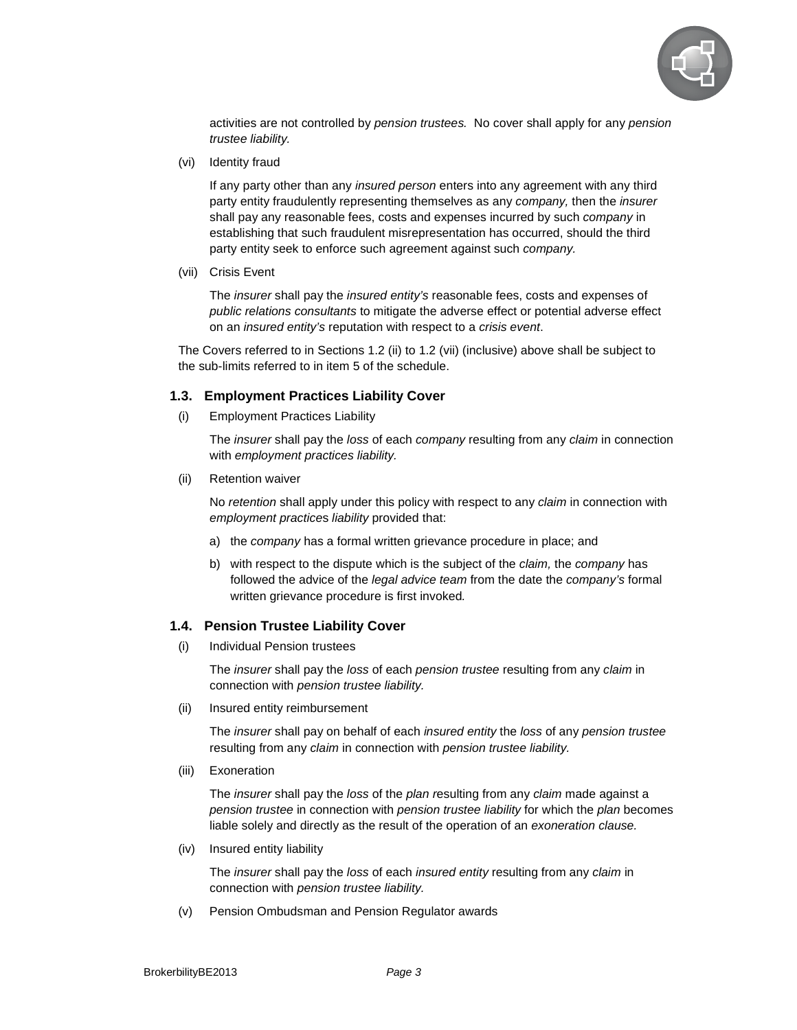

activities are not controlled by pension trustees. No cover shall apply for any pension trustee liability.

(vi) Identity fraud

If any party other than any insured person enters into any agreement with any third party entity fraudulently representing themselves as any *company*, then the *insurer* shall pay any reasonable fees, costs and expenses incurred by such *company* in establishing that such fraudulent misrepresentation has occurred, should the third party entity seek to enforce such agreement against such company.

(vii) Crisis Event

The *insurer* shall pay the *insured entity's* reasonable fees, costs and expenses of public relations consultants to mitigate the adverse effect or potential adverse effect on an insured entity's reputation with respect to a crisis event.

The Covers referred to in Sections 1.2 (ii) to 1.2 (vii) (inclusive) above shall be subject to the sub-limits referred to in item 5 of the schedule.

#### **1.3. Employment Practices Liability Cover**

(i) Employment Practices Liability

The *insurer* shall pay the *loss* of each *company* resulting from any *claim* in connection with employment practices liability.

(ii) Retention waiver

No retention shall apply under this policy with respect to any claim in connection with employment practices liability provided that:

- a) the company has a formal written grievance procedure in place; and
- b) with respect to the dispute which is the subject of the claim, the company has followed the advice of the legal advice team from the date the company's formal written grievance procedure is first invoked.

#### **1.4. Pension Trustee Liability Cover**

(i) Individual Pension trustees

The *insurer* shall pay the *loss* of each *pension trustee* resulting from any *claim* in connection with pension trustee liability.

(ii) Insured entity reimbursement

The *insurer* shall pay on behalf of each *insured entity* the *loss* of any *pension trustee* resulting from any claim in connection with pension trustee liability.

(iii) Exoneration

The insurer shall pay the loss of the plan resulting from any claim made against a pension trustee in connection with pension trustee liability for which the plan becomes liable solely and directly as the result of the operation of an exoneration clause.

(iv) Insured entity liability

The insurer shall pay the loss of each insured entity resulting from any claim in connection with pension trustee liability.

(v) Pension Ombudsman and Pension Regulator awards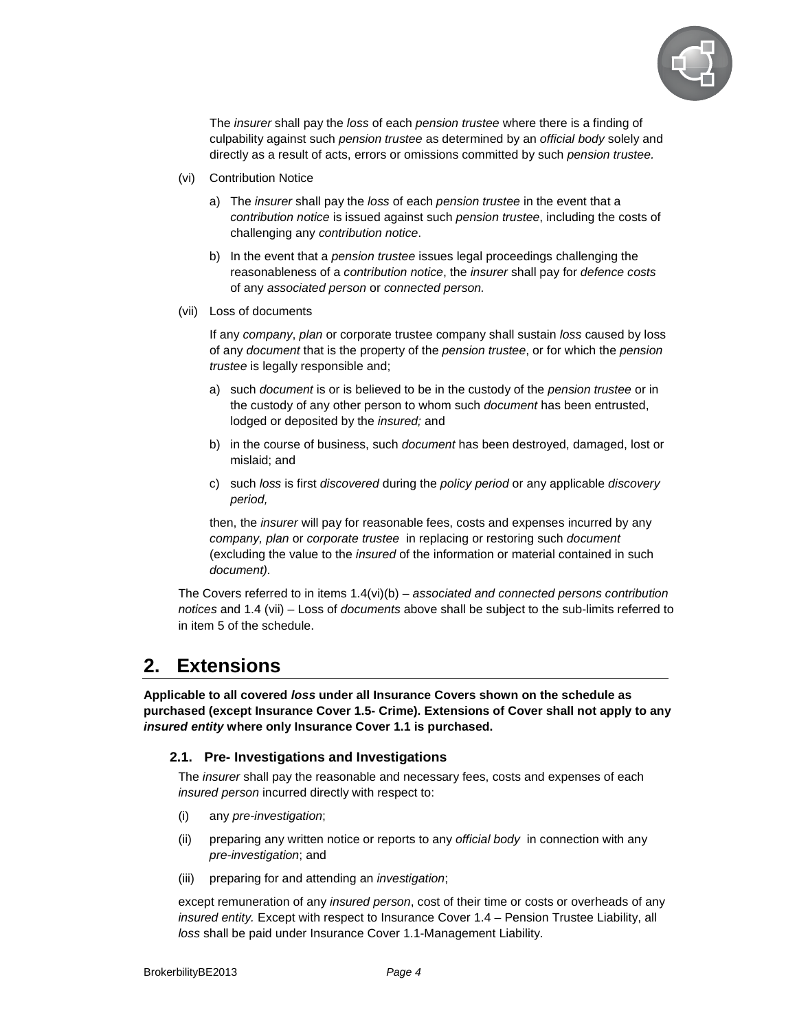

The insurer shall pay the loss of each pension trustee where there is a finding of culpability against such *pension trustee* as determined by an official body solely and directly as a result of acts, errors or omissions committed by such *pension trustee.* 

- (vi) Contribution Notice
	- a) The insurer shall pay the loss of each pension trustee in the event that a contribution notice is issued against such pension trustee, including the costs of challenging any contribution notice.
	- b) In the event that a *pension trustee* issues legal proceedings challenging the reasonableness of a contribution notice, the insurer shall pay for defence costs of any associated person or connected person.
- (vii) Loss of documents

If any company, plan or corporate trustee company shall sustain loss caused by loss of any document that is the property of the pension trustee, or for which the pension trustee is legally responsible and;

- a) such *document* is or is believed to be in the custody of the *pension trustee* or in the custody of any other person to whom such *document* has been entrusted, lodged or deposited by the *insured;* and
- b) in the course of business, such document has been destroyed, damaged, lost or mislaid; and
- c) such loss is first discovered during the policy period or any applicable discovery period,

then, the insurer will pay for reasonable fees, costs and expenses incurred by any company, plan or corporate trustee in replacing or restoring such document (excluding the value to the insured of the information or material contained in such document).

The Covers referred to in items  $1.4(vi)(b)$  – associated and connected persons contribution notices and 1.4 (vii) – Loss of documents above shall be subject to the sub-limits referred to in item 5 of the schedule.

# **2. Extensions**

**Applicable to all covered loss under all Insurance Covers shown on the schedule as purchased (except Insurance Cover 1.5- Crime). Extensions of Cover shall not apply to any insured entity where only Insurance Cover 1.1 is purchased.** 

# **2.1. Pre- Investigations and Investigations**

The insurer shall pay the reasonable and necessary fees, costs and expenses of each insured person incurred directly with respect to:

- (i) any pre-investigation;
- (ii) preparing any written notice or reports to any *official body* in connection with any pre-investigation; and
- (iii) preparing for and attending an *investigation*;

except remuneration of any *insured person*, cost of their time or costs or overheads of any insured entity. Except with respect to Insurance Cover 1.4 – Pension Trustee Liability, all loss shall be paid under Insurance Cover 1.1-Management Liability.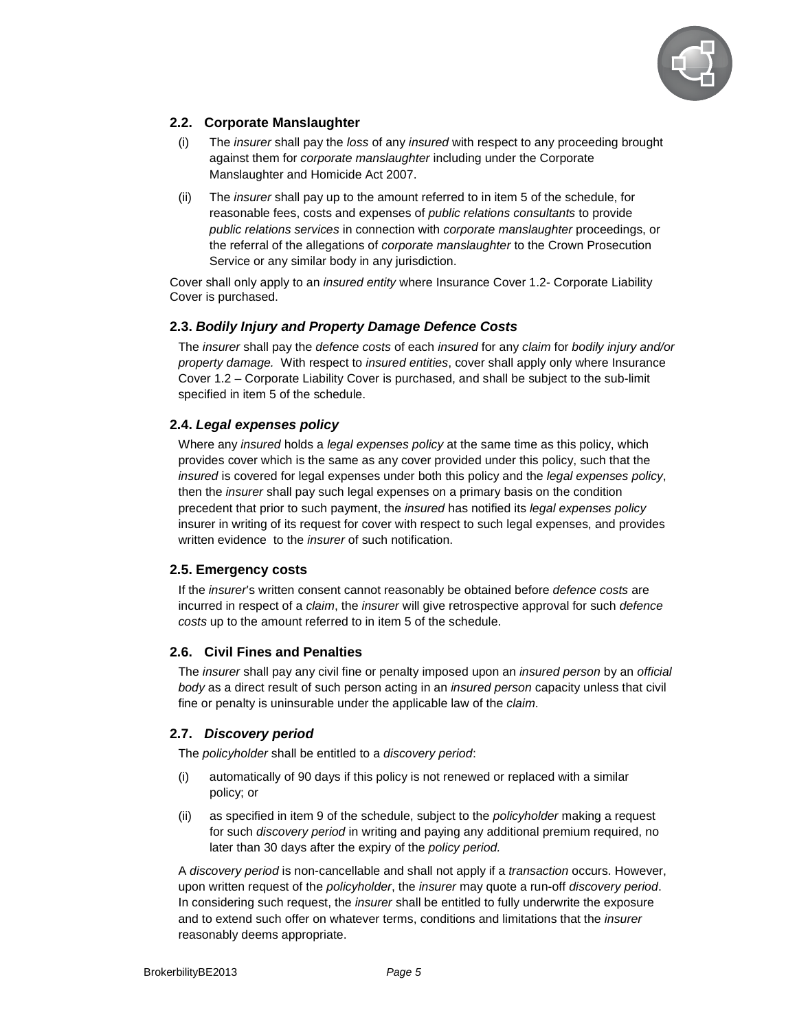

# **2.2. Corporate Manslaughter**

- (i) The insurer shall pay the loss of any insured with respect to any proceeding brought against them for corporate manslaughter including under the Corporate Manslaughter and Homicide Act 2007.
- (ii) The insurer shall pay up to the amount referred to in item 5 of the schedule, for reasonable fees, costs and expenses of public relations consultants to provide public relations services in connection with corporate manslaughter proceedings, or the referral of the allegations of corporate manslaughter to the Crown Prosecution Service or any similar body in any jurisdiction.

Cover shall only apply to an insured entity where Insurance Cover 1.2- Corporate Liability Cover is purchased.

#### **2.3. Bodily Injury and Property Damage Defence Costs**

The *insurer* shall pay the *defence costs* of each *insured* for any *claim* for *bodily injury and/or* property damage. With respect to insured entities, cover shall apply only where Insurance Cover 1.2 – Corporate Liability Cover is purchased, and shall be subject to the sub-limit specified in item 5 of the schedule.

#### **2.4. Legal expenses policy**

Where any insured holds a legal expenses policy at the same time as this policy, which provides cover which is the same as any cover provided under this policy, such that the insured is covered for legal expenses under both this policy and the legal expenses policy, then the insurer shall pay such legal expenses on a primary basis on the condition precedent that prior to such payment, the insured has notified its legal expenses policy insurer in writing of its request for cover with respect to such legal expenses, and provides written evidence to the *insurer* of such notification.

#### **2.5. Emergency costs**

If the *insurer's* written consent cannot reasonably be obtained before *defence costs* are incurred in respect of a *claim*, the *insurer* will give retrospective approval for such *defence* costs up to the amount referred to in item 5 of the schedule.

# **2.6. Civil Fines and Penalties**

The insurer shall pay any civil fine or penalty imposed upon an insured person by an official body as a direct result of such person acting in an *insured person* capacity unless that civil fine or penalty is uninsurable under the applicable law of the *claim*.

# **2.7. Discovery period**

The policyholder shall be entitled to a discovery period:

- (i) automatically of 90 days if this policy is not renewed or replaced with a similar policy; or
- (ii) as specified in item 9 of the schedule, subject to the policyholder making a request for such discovery period in writing and paying any additional premium required, no later than 30 days after the expiry of the policy period.

A discovery period is non-cancellable and shall not apply if a transaction occurs. However, upon written request of the policyholder, the insurer may quote a run-off discovery period. In considering such request, the *insurer* shall be entitled to fully underwrite the exposure and to extend such offer on whatever terms, conditions and limitations that the *insurer* reasonably deems appropriate.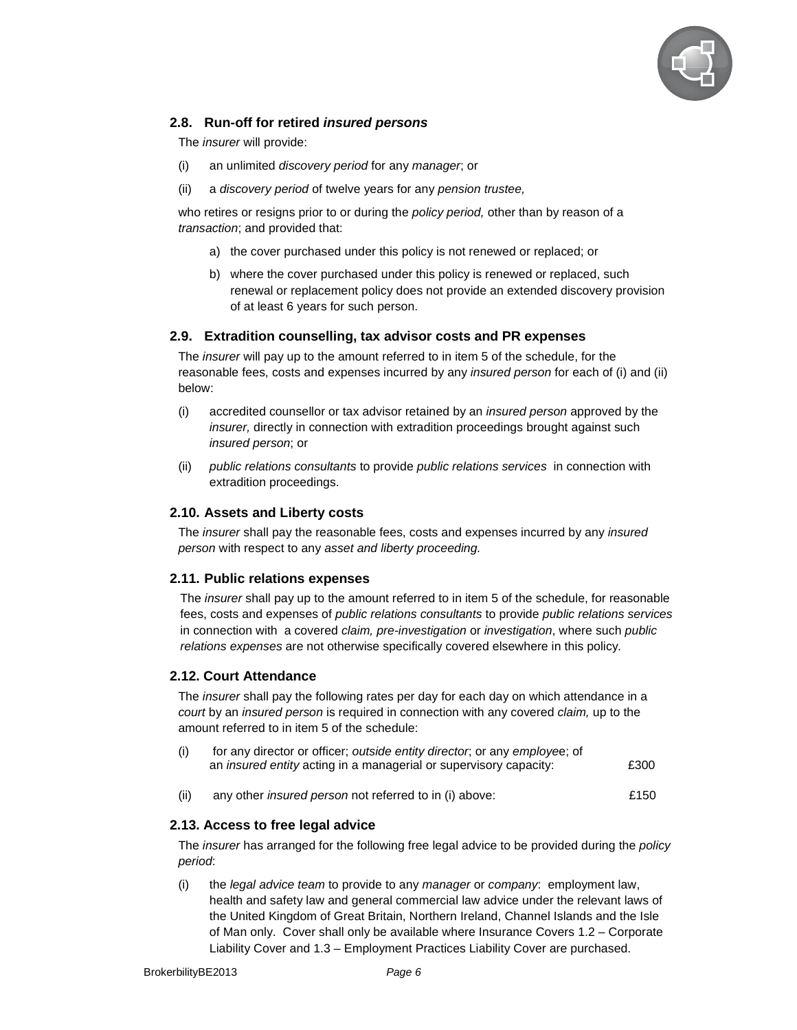

# **2.8. Run-off for retired insured persons**

The insurer will provide:

- (i) an unlimited discovery period for any manager; or
- (ii) a discovery period of twelve years for any pension trustee,

who retires or resigns prior to or during the *policy period*, other than by reason of a transaction; and provided that:

- a) the cover purchased under this policy is not renewed or replaced; or
- b) where the cover purchased under this policy is renewed or replaced, such renewal or replacement policy does not provide an extended discovery provision of at least 6 years for such person.

#### **2.9. Extradition counselling, tax advisor costs and PR expenses**

The *insurer* will pay up to the amount referred to in item 5 of the schedule, for the reasonable fees, costs and expenses incurred by any insured person for each of (i) and (ii) below:

- (i) accredited counsellor or tax advisor retained by an insured person approved by the insurer, directly in connection with extradition proceedings brought against such insured person; or
- (ii) public relations consultants to provide public relations services in connection with extradition proceedings.

#### **2.10. Assets and Liberty costs**

The insurer shall pay the reasonable fees, costs and expenses incurred by any insured person with respect to any asset and liberty proceeding.

#### **2.11. Public relations expenses**

The *insurer* shall pay up to the amount referred to in item 5 of the schedule, for reasonable fees, costs and expenses of public relations consultants to provide public relations services in connection with a covered claim, pre-investigation or investigation, where such public relations expenses are not otherwise specifically covered elsewhere in this policy.

#### **2.12. Court Attendance**

The *insurer* shall pay the following rates per day for each day on which attendance in a court by an *insured person* is required in connection with any covered *claim*, up to the amount referred to in item 5 of the schedule:

| (i) | for any director or officer; outside entity director, or any employee; of |      |
|-----|---------------------------------------------------------------------------|------|
|     | an <i>insured entity</i> acting in a managerial or supervisory capacity:  | £300 |

(ii) any other insured person not referred to in (i) above: £150

# **2.13. Access to free legal advice**

The *insurer* has arranged for the following free legal advice to be provided during the *policy* period:

(i) the legal advice team to provide to any manager or company: employment law, health and safety law and general commercial law advice under the relevant laws of the United Kingdom of Great Britain, Northern Ireland, Channel Islands and the Isle of Man only. Cover shall only be available where Insurance Covers 1.2 – Corporate Liability Cover and 1.3 – Employment Practices Liability Cover are purchased.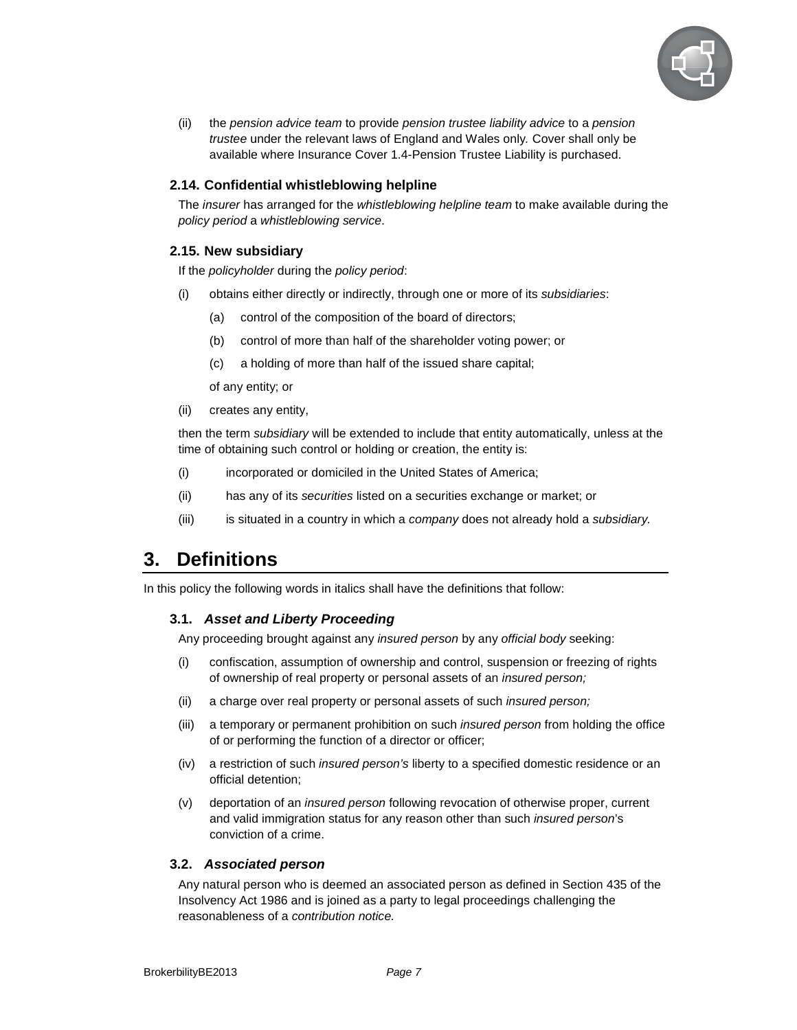

(ii) the pension advice team to provide pension trustee liability advice to a pension trustee under the relevant laws of England and Wales only. Cover shall only be available where Insurance Cover 1.4-Pension Trustee Liability is purchased.

#### **2.14. Confidential whistleblowing helpline**

The *insurer* has arranged for the *whistleblowing helpline team* to make available during the policy period a whistleblowing service.

#### **2.15. New subsidiary**

If the policyholder during the policy period:

- (i) obtains either directly or indirectly, through one or more of its subsidiaries:
	- (a) control of the composition of the board of directors;
	- (b) control of more than half of the shareholder voting power; or
	- (c) a holding of more than half of the issued share capital;

of any entity; or

(ii) creates any entity,

then the term *subsidiary* will be extended to include that entity automatically, unless at the time of obtaining such control or holding or creation, the entity is:

- (i) incorporated or domiciled in the United States of America;
- (ii) has any of its securities listed on a securities exchange or market; or
- $(iii)$  is situated in a country in which a company does not already hold a subsidiary.

# **3. Definitions**

In this policy the following words in italics shall have the definitions that follow:

#### **3.1. Asset and Liberty Proceeding**

Any proceeding brought against any insured person by any official body seeking:

- (i) confiscation, assumption of ownership and control, suspension or freezing of rights of ownership of real property or personal assets of an insured person;
- (ii) a charge over real property or personal assets of such insured person;
- (iii) a temporary or permanent prohibition on such insured person from holding the office of or performing the function of a director or officer;
- (iv) a restriction of such insured person's liberty to a specified domestic residence or an official detention;
- (v) deportation of an insured person following revocation of otherwise proper, current and valid immigration status for any reason other than such insured person's conviction of a crime.

#### **3.2. Associated person**

Any natural person who is deemed an associated person as defined in Section 435 of the Insolvency Act 1986 and is joined as a party to legal proceedings challenging the reasonableness of a contribution notice.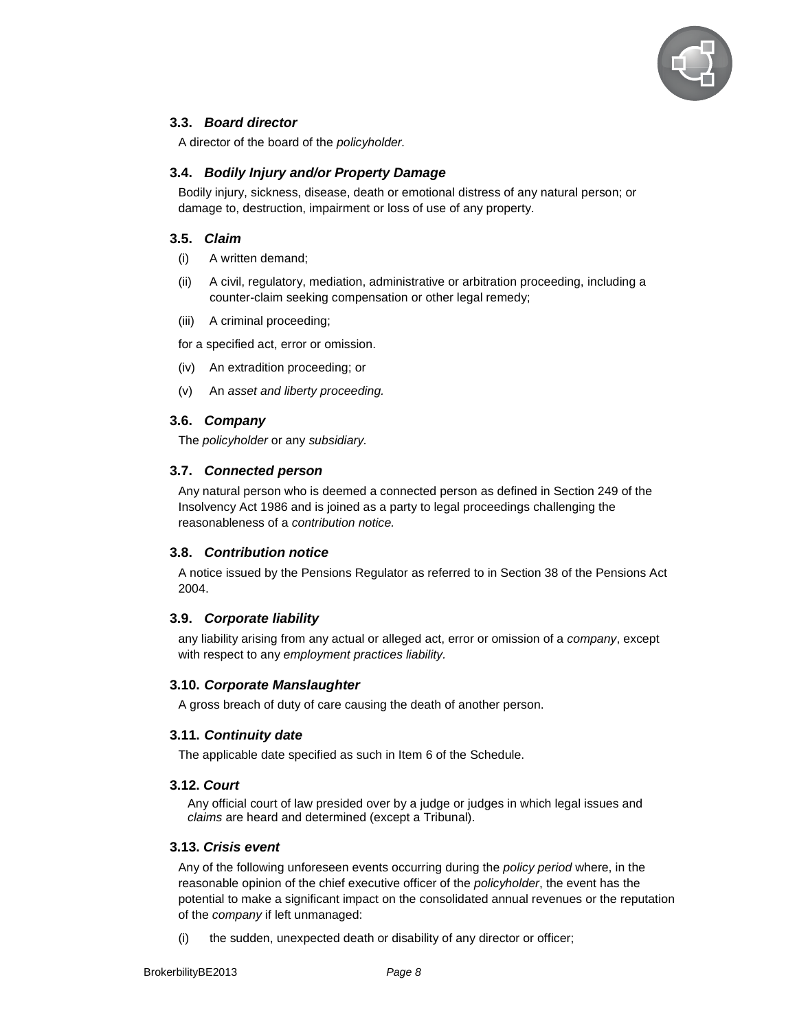

# **3.3. Board director**

A director of the board of the policyholder.

#### **3.4. Bodily Injury and/or Property Damage**

Bodily injury, sickness, disease, death or emotional distress of any natural person; or damage to, destruction, impairment or loss of use of any property.

#### **3.5. Claim**

- (i) A written demand;
- (ii) A civil, regulatory, mediation, administrative or arbitration proceeding, including a counter-claim seeking compensation or other legal remedy;
- (iii) A criminal proceeding;

for a specified act, error or omission.

- (iv) An extradition proceeding; or
- (v) An asset and liberty proceeding.

#### **3.6. Company**

The policyholder or any subsidiary.

#### **3.7. Connected person**

Any natural person who is deemed a connected person as defined in Section 249 of the Insolvency Act 1986 and is joined as a party to legal proceedings challenging the reasonableness of a contribution notice.

#### **3.8. Contribution notice**

A notice issued by the Pensions Regulator as referred to in Section 38 of the Pensions Act 2004.

# **3.9. Corporate liability**

any liability arising from any actual or alleged act, error or omission of a *company*, except with respect to any employment practices liability.

#### **3.10. Corporate Manslaughter**

A gross breach of duty of care causing the death of another person.

#### **3.11. Continuity date**

The applicable date specified as such in Item 6 of the Schedule.

#### **3.12. Court**

Any official court of law presided over by a judge or judges in which legal issues and claims are heard and determined (except a Tribunal).

#### **3.13. Crisis event**

Any of the following unforeseen events occurring during the *policy period* where, in the reasonable opinion of the chief executive officer of the policyholder, the event has the potential to make a significant impact on the consolidated annual revenues or the reputation of the company if left unmanaged:

(i) the sudden, unexpected death or disability of any director or officer;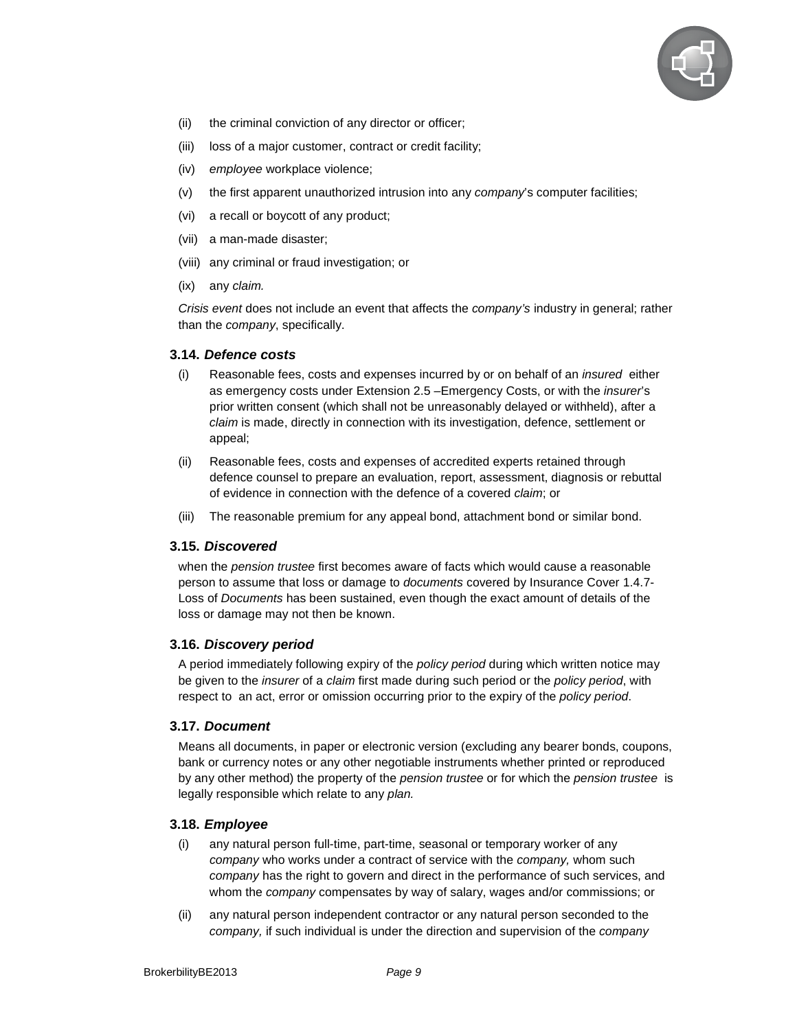

- (ii) the criminal conviction of any director or officer;
- (iii) loss of a major customer, contract or credit facility;
- (iv) employee workplace violence;
- (v) the first apparent unauthorized intrusion into any company's computer facilities;
- (vi) a recall or boycott of any product;
- (vii) a man-made disaster;
- (viii) any criminal or fraud investigation; or
- (ix) any claim.

Crisis event does not include an event that affects the company's industry in general; rather than the *company*, specifically.

#### **3.14. Defence costs**

- (i) Reasonable fees, costs and expenses incurred by or on behalf of an insured either as emergency costs under Extension 2.5 – Emergency Costs, or with the *insurer's* prior written consent (which shall not be unreasonably delayed or withheld), after a claim is made, directly in connection with its investigation, defence, settlement or appeal;
- (ii) Reasonable fees, costs and expenses of accredited experts retained through defence counsel to prepare an evaluation, report, assessment, diagnosis or rebuttal of evidence in connection with the defence of a covered claim; or
- (iii) The reasonable premium for any appeal bond, attachment bond or similar bond.

#### **3.15. Discovered**

when the pension trustee first becomes aware of facts which would cause a reasonable person to assume that loss or damage to documents covered by Insurance Cover 1.4.7- Loss of Documents has been sustained, even though the exact amount of details of the loss or damage may not then be known.

#### **3.16. Discovery period**

A period immediately following expiry of the *policy period* during which written notice may be given to the insurer of a claim first made during such period or the policy period, with respect to an act, error or omission occurring prior to the expiry of the *policy period*.

#### **3.17. Document**

Means all documents, in paper or electronic version (excluding any bearer bonds, coupons, bank or currency notes or any other negotiable instruments whether printed or reproduced by any other method) the property of the pension trustee or for which the pension trustee is legally responsible which relate to any plan.

#### **3.18. Employee**

- (i) any natural person full-time, part-time, seasonal or temporary worker of any company who works under a contract of service with the *company*, whom such company has the right to govern and direct in the performance of such services, and whom the *company* compensates by way of salary, wages and/or commissions; or
- (ii) any natural person independent contractor or any natural person seconded to the company, if such individual is under the direction and supervision of the *company*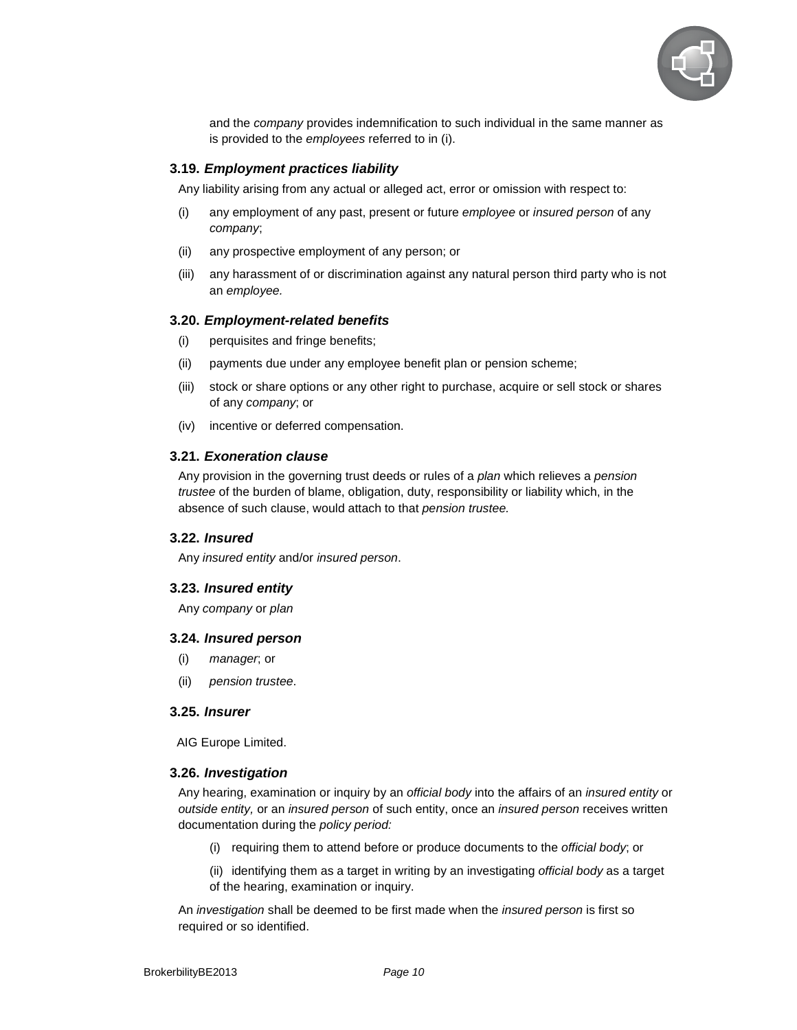

and the *company* provides indemnification to such individual in the same manner as is provided to the employees referred to in (i).

#### **3.19. Employment practices liability**

Any liability arising from any actual or alleged act, error or omission with respect to:

- (i) any employment of any past, present or future employee or insured person of any company;
- (ii) any prospective employment of any person; or
- (iii) any harassment of or discrimination against any natural person third party who is not an employee.

#### **3.20. Employment-related benefits**

- (i) perquisites and fringe benefits;
- (ii) payments due under any employee benefit plan or pension scheme;
- (iii) stock or share options or any other right to purchase, acquire or sell stock or shares of any company; or
- (iv) incentive or deferred compensation.

#### **3.21. Exoneration clause**

Any provision in the governing trust deeds or rules of a *plan* which relieves a *pension* trustee of the burden of blame, obligation, duty, responsibility or liability which, in the absence of such clause, would attach to that pension trustee.

#### **3.22. Insured**

Any insured entity and/or insured person.

#### **3.23. Insured entity**

Any company or plan

#### **3.24. Insured person**

- (i) manager; or
- (ii) pension trustee.

#### **3.25. Insurer**

AIG Europe Limited.

#### **3.26. Investigation**

Any hearing, examination or inquiry by an *official body* into the affairs of an *insured entity* or outside entity, or an insured person of such entity, once an insured person receives written documentation during the policy period:

- (i) requiring them to attend before or produce documents to the official body; or
- (ii) identifying them as a target in writing by an investigating official body as a target of the hearing, examination or inquiry.

An *investigation* shall be deemed to be first made when the *insured person* is first so required or so identified.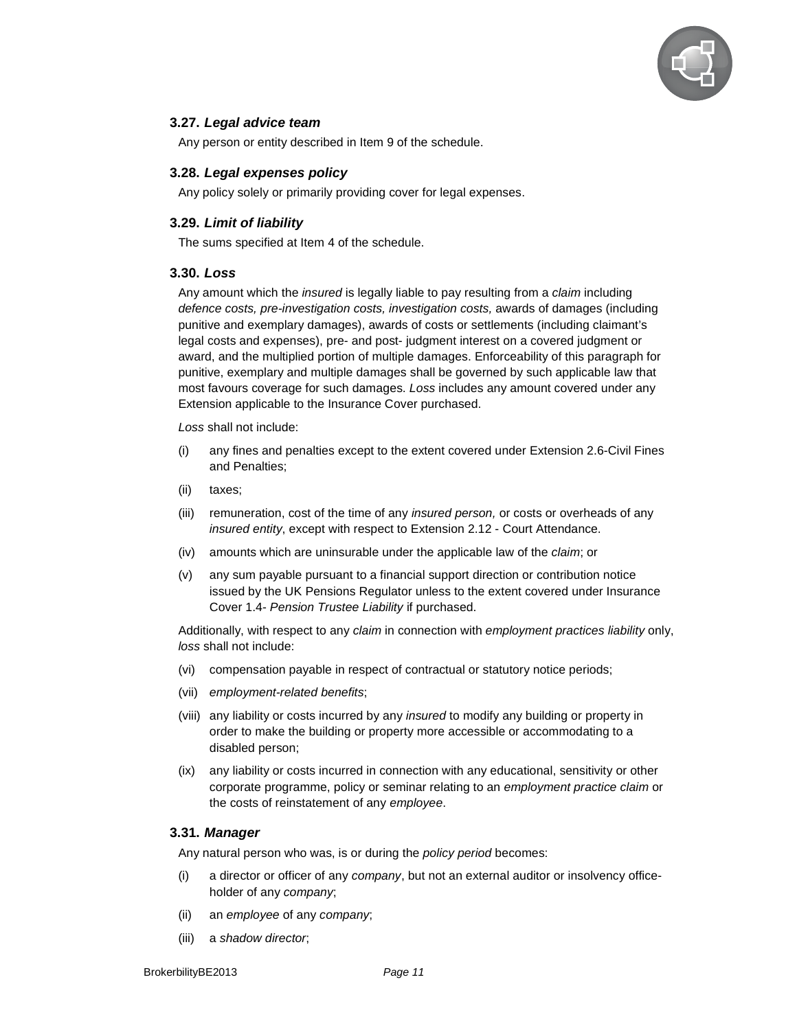

#### **3.27. Legal advice team**

Any person or entity described in Item 9 of the schedule.

#### **3.28. Legal expenses policy**

Any policy solely or primarily providing cover for legal expenses.

#### **3.29. Limit of liability**

The sums specified at Item 4 of the schedule.

#### **3.30. Loss**

Any amount which the *insured* is legally liable to pay resulting from a claim including defence costs, pre-investigation costs, investigation costs, awards of damages (including punitive and exemplary damages), awards of costs or settlements (including claimant's legal costs and expenses), pre- and post- judgment interest on a covered judgment or award, and the multiplied portion of multiple damages. Enforceability of this paragraph for punitive, exemplary and multiple damages shall be governed by such applicable law that most favours coverage for such damages. Loss includes any amount covered under any Extension applicable to the Insurance Cover purchased.

Loss shall not include:

- (i) any fines and penalties except to the extent covered under Extension 2.6-Civil Fines and Penalties;
- (ii) taxes;
- (iii) remuneration, cost of the time of any *insured person*, or costs or overheads of any insured entity, except with respect to Extension 2.12 - Court Attendance.
- (iv) amounts which are uninsurable under the applicable law of the claim; or
- (v) any sum payable pursuant to a financial support direction or contribution notice issued by the UK Pensions Regulator unless to the extent covered under Insurance Cover 1.4- Pension Trustee Liability if purchased.

Additionally, with respect to any claim in connection with employment practices liability only, loss shall not include:

- (vi) compensation payable in respect of contractual or statutory notice periods;
- (vii) employment-related benefits;
- (viii) any liability or costs incurred by any insured to modify any building or property in order to make the building or property more accessible or accommodating to a disabled person;
- (ix) any liability or costs incurred in connection with any educational, sensitivity or other corporate programme, policy or seminar relating to an employment practice claim or the costs of reinstatement of any employee.

#### **3.31. Manager**

Any natural person who was, is or during the *policy period* becomes:

- $(i)$  a director or officer of any company, but not an external auditor or insolvency officeholder of any company;
- (ii) an employee of any company;
- (iii) a shadow director;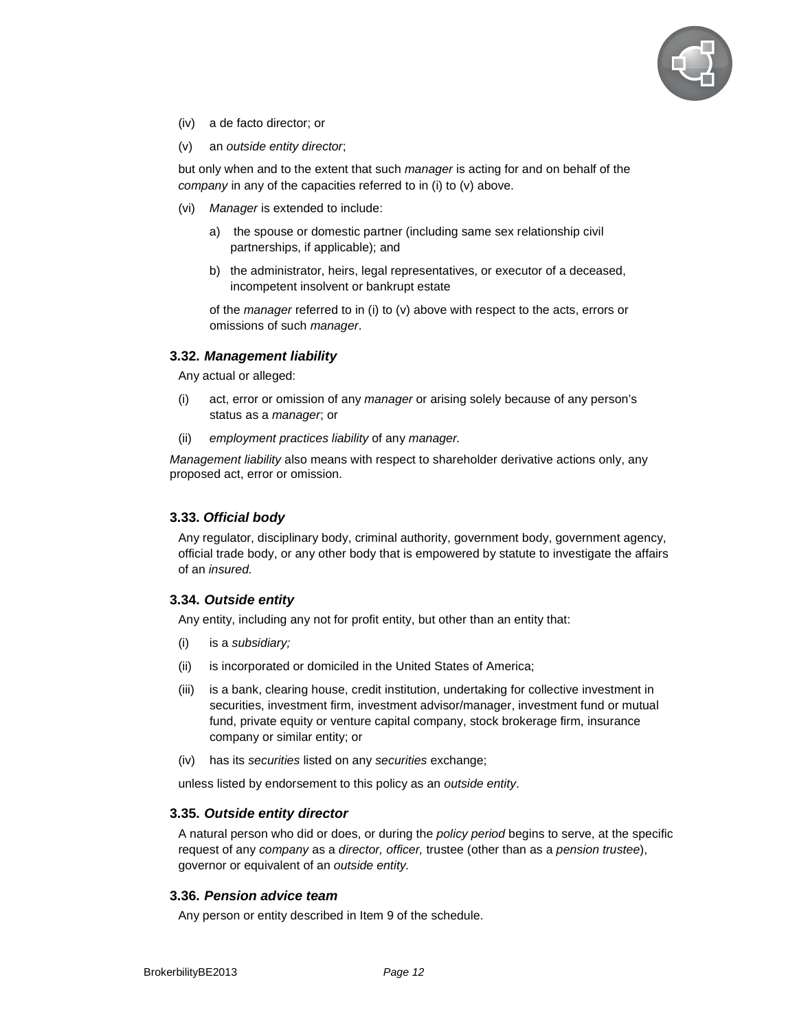

- (iv) a de facto director; or
- (v) an outside entity director;

but only when and to the extent that such manager is acting for and on behalf of the company in any of the capacities referred to in (i) to (v) above.

- (vi) Manager is extended to include:
	- a) the spouse or domestic partner (including same sex relationship civil partnerships, if applicable); and
	- b) the administrator, heirs, legal representatives, or executor of a deceased, incompetent insolvent or bankrupt estate

of the *manager* referred to in (i) to (v) above with respect to the acts, errors or omissions of such *manager*.

#### **3.32. Management liability**

Any actual or alleged:

- (i) act, error or omission of any manager or arising solely because of any person's status as a *manager*; or
- (ii) employment practices liability of any manager.

Management liability also means with respect to shareholder derivative actions only, any proposed act, error or omission.

#### **3.33. Official body**

Any regulator, disciplinary body, criminal authority, government body, government agency, official trade body, or any other body that is empowered by statute to investigate the affairs of an insured.

#### **3.34. Outside entity**

Any entity, including any not for profit entity, but other than an entity that:

- (i) is a subsidiary;
- (ii) is incorporated or domiciled in the United States of America;
- (iii) is a bank, clearing house, credit institution, undertaking for collective investment in securities, investment firm, investment advisor/manager, investment fund or mutual fund, private equity or venture capital company, stock brokerage firm, insurance company or similar entity; or
- (iv) has its securities listed on any securities exchange;

unless listed by endorsement to this policy as an outside entity.

#### **3.35. Outside entity director**

A natural person who did or does, or during the policy period begins to serve, at the specific request of any company as a director, officer, trustee (other than as a pension trustee), governor or equivalent of an outside entity.

#### **3.36. Pension advice team**

Any person or entity described in Item 9 of the schedule.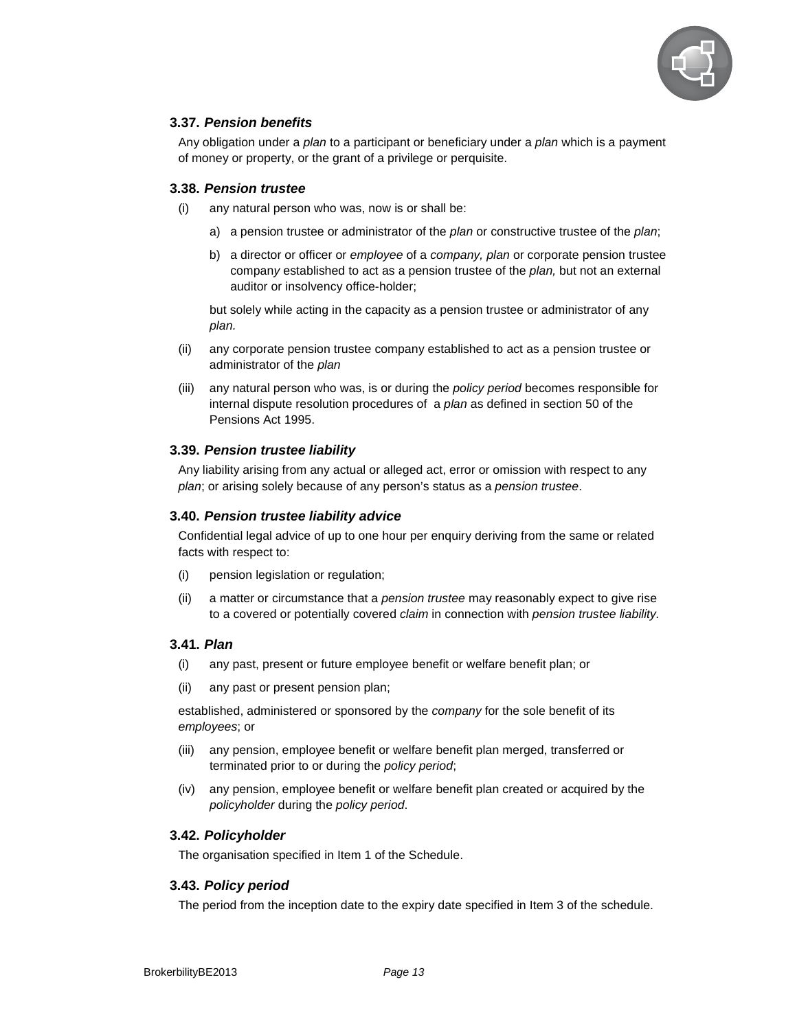

# **3.37. Pension benefits**

Any obligation under a *plan* to a participant or beneficiary under a *plan* which is a payment of money or property, or the grant of a privilege or perquisite.

#### **3.38. Pension trustee**

- (i) any natural person who was, now is or shall be:
	- a) a pension trustee or administrator of the plan or constructive trustee of the plan;
	- b) a director or officer or employee of a company, plan or corporate pension trustee company established to act as a pension trustee of the *plan*, but not an external auditor or insolvency office-holder;

but solely while acting in the capacity as a pension trustee or administrator of any plan.

- (ii) any corporate pension trustee company established to act as a pension trustee or administrator of the plan
- (iii) any natural person who was, is or during the *policy period* becomes responsible for internal dispute resolution procedures of a plan as defined in section 50 of the Pensions Act 1995.

#### **3.39. Pension trustee liability**

Any liability arising from any actual or alleged act, error or omission with respect to any plan; or arising solely because of any person's status as a pension trustee.

#### **3.40. Pension trustee liability advice**

Confidential legal advice of up to one hour per enquiry deriving from the same or related facts with respect to:

- (i) pension legislation or regulation;
- (ii) a matter or circumstance that a pension trustee may reasonably expect to give rise to a covered or potentially covered claim in connection with pension trustee liability.

#### **3.41. Plan**

- (i) any past, present or future employee benefit or welfare benefit plan; or
- (ii) any past or present pension plan;

established, administered or sponsored by the *company* for the sole benefit of its employees; or

- (iii) any pension, employee benefit or welfare benefit plan merged, transferred or terminated prior to or during the policy period;
- (iv) any pension, employee benefit or welfare benefit plan created or acquired by the policyholder during the policy period.

#### **3.42. Policyholder**

The organisation specified in Item 1 of the Schedule.

#### **3.43. Policy period**

The period from the inception date to the expiry date specified in Item 3 of the schedule.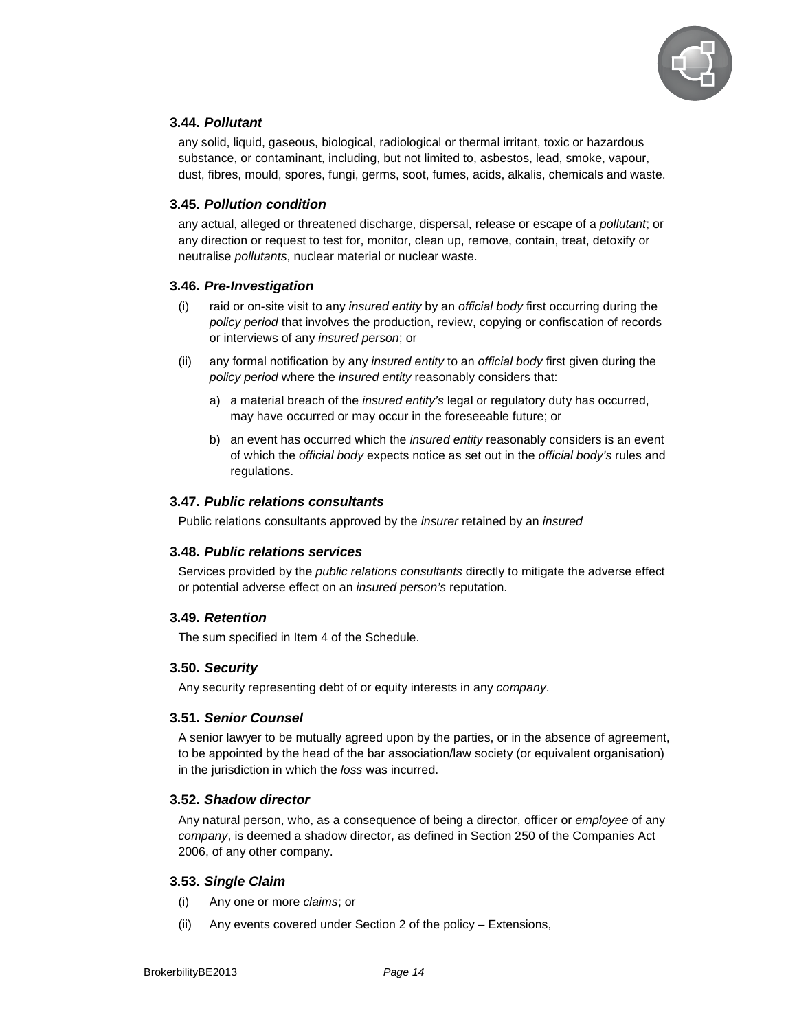

# **3.44. Pollutant**

any solid, liquid, gaseous, biological, radiological or thermal irritant, toxic or hazardous substance, or contaminant, including, but not limited to, asbestos, lead, smoke, vapour, dust, fibres, mould, spores, fungi, germs, soot, fumes, acids, alkalis, chemicals and waste.

#### **3.45. Pollution condition**

any actual, alleged or threatened discharge, dispersal, release or escape of a pollutant; or any direction or request to test for, monitor, clean up, remove, contain, treat, detoxify or neutralise pollutants, nuclear material or nuclear waste.

#### **3.46. Pre-Investigation**

- (i) raid or on-site visit to any *insured entity* by an *official body* first occurring during the policy period that involves the production, review, copying or confiscation of records or interviews of any insured person; or
- (ii) any formal notification by any *insured entity* to an *official body* first given during the policy period where the insured entity reasonably considers that:
	- a) a material breach of the insured entity's legal or regulatory duty has occurred, may have occurred or may occur in the foreseeable future; or
	- b) an event has occurred which the *insured entity* reasonably considers is an event of which the official body expects notice as set out in the official body's rules and regulations.

#### **3.47. Public relations consultants**

Public relations consultants approved by the insurer retained by an insured

#### **3.48. Public relations services**

Services provided by the *public relations consultants* directly to mitigate the adverse effect or potential adverse effect on an insured person's reputation.

#### **3.49. Retention**

The sum specified in Item 4 of the Schedule.

#### **3.50. Security**

Any security representing debt of or equity interests in any company.

#### **3.51. Senior Counsel**

A senior lawyer to be mutually agreed upon by the parties, or in the absence of agreement, to be appointed by the head of the bar association/law society (or equivalent organisation) in the jurisdiction in which the loss was incurred.

#### **3.52. Shadow director**

Any natural person, who, as a consequence of being a director, officer or *employee* of any company, is deemed a shadow director, as defined in Section 250 of the Companies Act 2006, of any other company.

#### **3.53. Single Claim**

- (i) Any one or more claims; or
- (ii) Any events covered under Section 2 of the policy Extensions,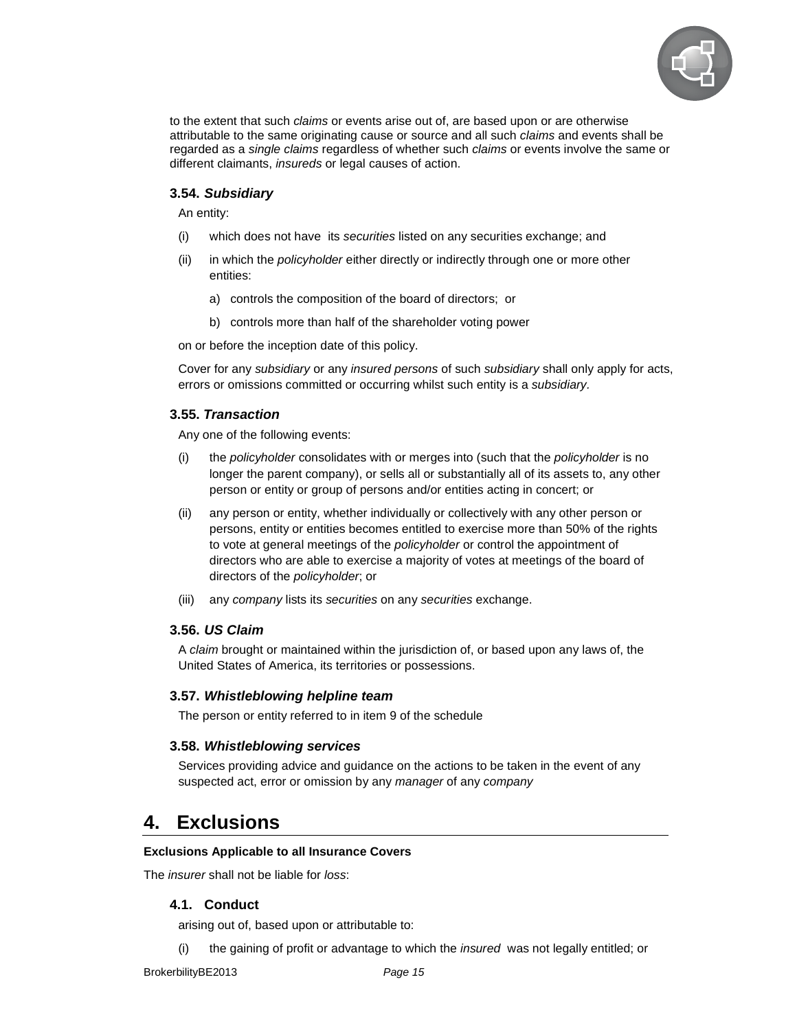

to the extent that such *claims* or events arise out of, are based upon or are otherwise attributable to the same originating cause or source and all such claims and events shall be regarded as a single claims regardless of whether such claims or events involve the same or different claimants, insureds or legal causes of action.

#### **3.54. Subsidiary**

An entity:

- (i) which does not have its securities listed on any securities exchange; and
- (ii) in which the *policyholder* either directly or indirectly through one or more other entities:
	- a) controls the composition of the board of directors; or
	- b) controls more than half of the shareholder voting power

on or before the inception date of this policy.

Cover for any subsidiary or any insured persons of such subsidiary shall only apply for acts, errors or omissions committed or occurring whilst such entity is a subsidiary.

#### **3.55. Transaction**

Any one of the following events:

- (i) the policyholder consolidates with or merges into (such that the policyholder is no longer the parent company), or sells all or substantially all of its assets to, any other person or entity or group of persons and/or entities acting in concert; or
- (ii) any person or entity, whether individually or collectively with any other person or persons, entity or entities becomes entitled to exercise more than 50% of the rights to vote at general meetings of the policyholder or control the appointment of directors who are able to exercise a majority of votes at meetings of the board of directors of the policyholder; or
- (iii) any company lists its securities on any securities exchange.

#### **3.56. US Claim**

A claim brought or maintained within the jurisdiction of, or based upon any laws of, the United States of America, its territories or possessions.

#### **3.57. Whistleblowing helpline team**

The person or entity referred to in item 9 of the schedule

#### **3.58. Whistleblowing services**

Services providing advice and guidance on the actions to be taken in the event of any suspected act, error or omission by any manager of any company

# **4. Exclusions**

#### **Exclusions Applicable to all Insurance Covers**

The *insurer* shall not be liable for *loss*:

#### **4.1. Conduct**

arising out of, based upon or attributable to:

(i) the gaining of profit or advantage to which the insured was not legally entitled; or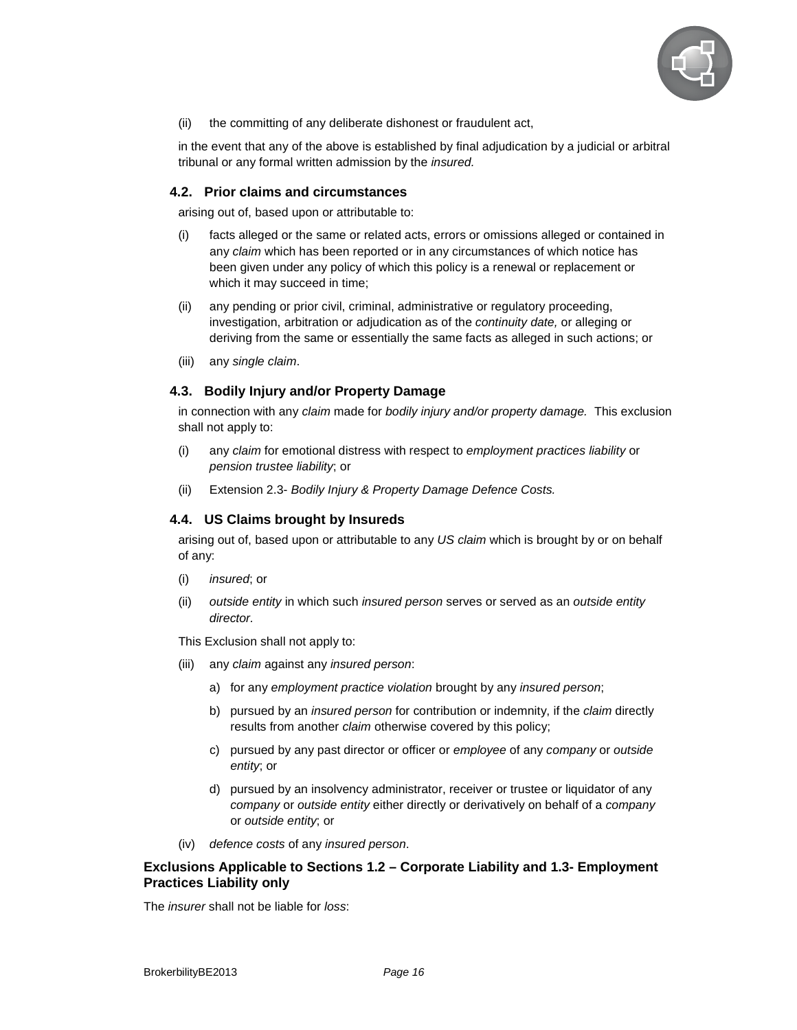

(ii) the committing of any deliberate dishonest or fraudulent act,

in the event that any of the above is established by final adjudication by a judicial or arbitral tribunal or any formal written admission by the insured.

#### **4.2. Prior claims and circumstances**

arising out of, based upon or attributable to:

- (i) facts alleged or the same or related acts, errors or omissions alleged or contained in any claim which has been reported or in any circumstances of which notice has been given under any policy of which this policy is a renewal or replacement or which it may succeed in time;
- (ii) any pending or prior civil, criminal, administrative or regulatory proceeding, investigation, arbitration or adjudication as of the continuity date, or alleging or deriving from the same or essentially the same facts as alleged in such actions; or
- (iii) any single claim.

#### **4.3. Bodily Injury and/or Property Damage**

in connection with any claim made for bodily injury and/or property damage. This exclusion shall not apply to:

- (i) any claim for emotional distress with respect to employment practices liability or pension trustee liability; or
- (ii) Extension 2.3- Bodily Injury & Property Damage Defence Costs.

#### **4.4. US Claims brought by Insureds**

arising out of, based upon or attributable to any US claim which is brought by or on behalf of any:

- (i) insured; or
- (ii) outside entity in which such insured person serves or served as an outside entity director.

This Exclusion shall not apply to:

- (iii) any claim against any insured person:
	- a) for any employment practice violation brought by any insured person;
	- b) pursued by an *insured person* for contribution or indemnity, if the *claim* directly results from another *claim* otherwise covered by this policy;
	- c) pursued by any past director or officer or employee of any company or outside entity; or
	- d) pursued by an insolvency administrator, receiver or trustee or liquidator of any company or outside entity either directly or derivatively on behalf of a company or outside entity; or
- (iv) defence costs of any insured person.

#### **Exclusions Applicable to Sections 1.2 – Corporate Liability and 1.3- Employment Practices Liability only**

The *insurer* shall not be liable for *loss*: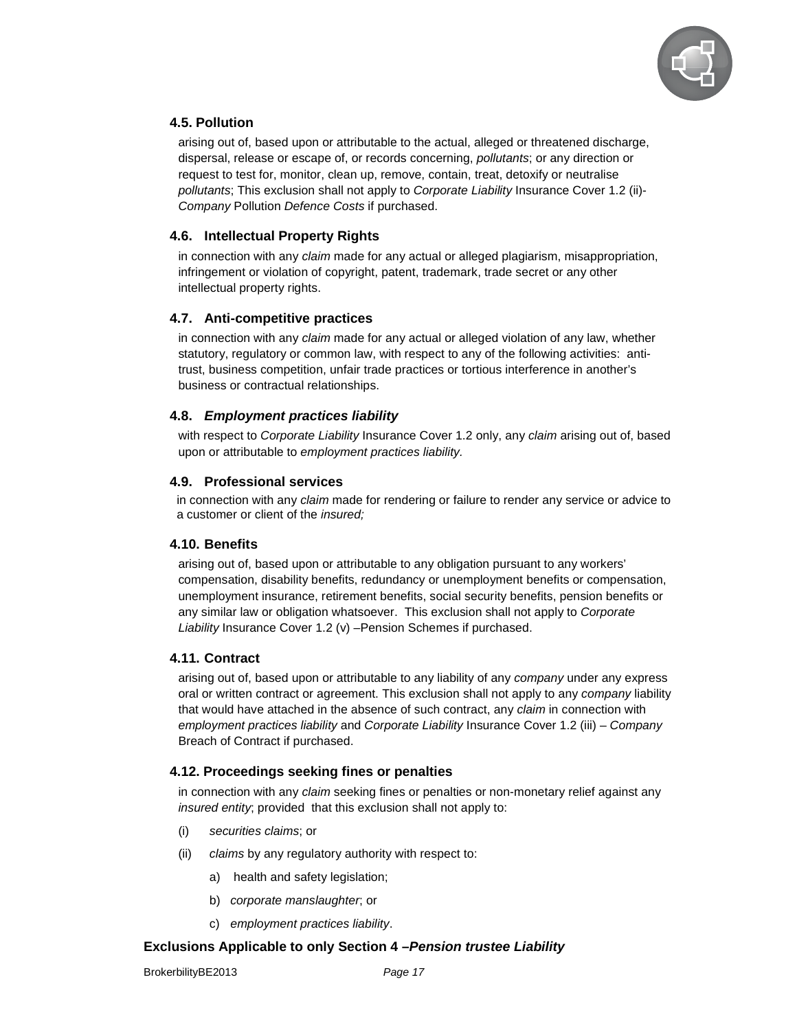

# **4.5. Pollution**

arising out of, based upon or attributable to the actual, alleged or threatened discharge, dispersal, release or escape of, or records concerning, pollutants; or any direction or request to test for, monitor, clean up, remove, contain, treat, detoxify or neutralise pollutants; This exclusion shall not apply to Corporate Liability Insurance Cover 1.2 (ii)- Company Pollution Defence Costs if purchased.

# **4.6. Intellectual Property Rights**

in connection with any claim made for any actual or alleged plagiarism, misappropriation, infringement or violation of copyright, patent, trademark, trade secret or any other intellectual property rights.

# **4.7. Anti-competitive practices**

in connection with any claim made for any actual or alleged violation of any law, whether statutory, regulatory or common law, with respect to any of the following activities: antitrust, business competition, unfair trade practices or tortious interference in another's business or contractual relationships.

# **4.8. Employment practices liability**

with respect to Corporate Liability Insurance Cover 1.2 only, any claim arising out of, based upon or attributable to employment practices liability.

# **4.9. Professional services**

in connection with any claim made for rendering or failure to render any service or advice to a customer or client of the insured;

# **4.10. Benefits**

arising out of, based upon or attributable to any obligation pursuant to any workers' compensation, disability benefits, redundancy or unemployment benefits or compensation, unemployment insurance, retirement benefits, social security benefits, pension benefits or any similar law or obligation whatsoever. This exclusion shall not apply to Corporate Liability Insurance Cover 1.2 (v) –Pension Schemes if purchased.

# **4.11. Contract**

arising out of, based upon or attributable to any liability of any company under any express oral or written contract or agreement. This exclusion shall not apply to any *company* liability that would have attached in the absence of such contract, any *claim* in connection with employment practices liability and Corporate Liability Insurance Cover 1.2 (iii) – Company Breach of Contract if purchased.

# **4.12. Proceedings seeking fines or penalties**

in connection with any *claim* seeking fines or penalties or non-monetary relief against any insured entity; provided that this exclusion shall not apply to:

- (i) securities claims; or
- (ii) claims by any regulatory authority with respect to:
	- a) health and safety legislation;
	- b) corporate manslaughter; or
	- c) employment practices liability.

#### **Exclusions Applicable to only Section 4 –Pension trustee Liability**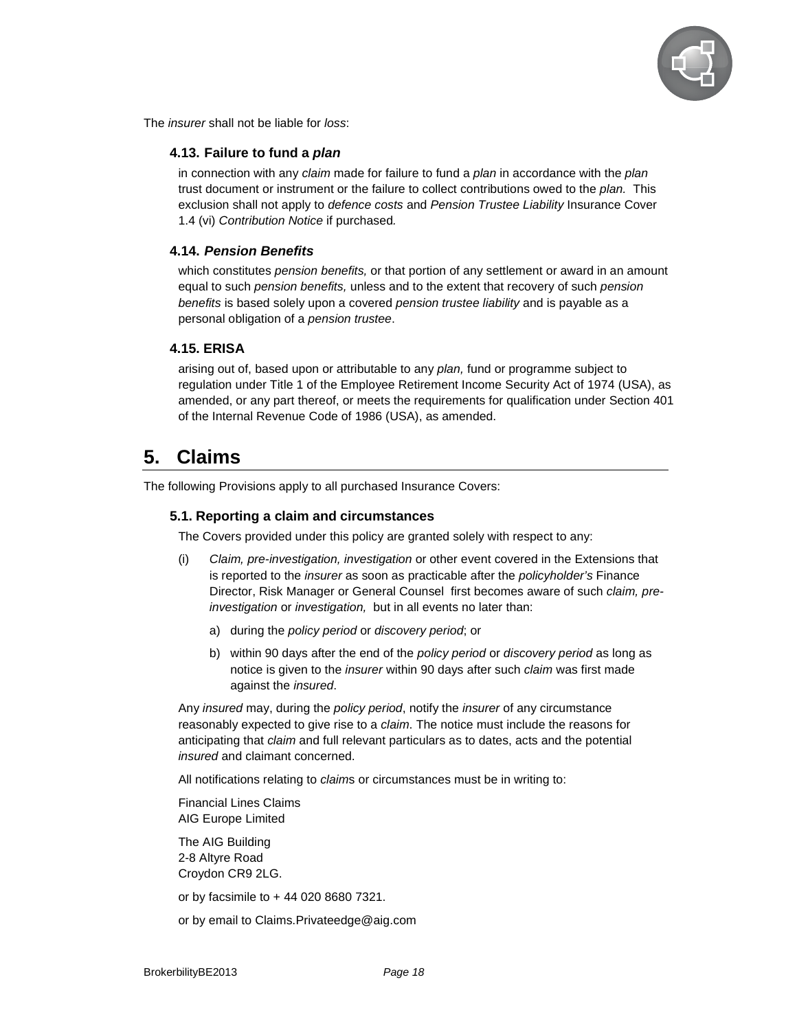

The *insurer* shall not be liable for *loss*:

#### **4.13. Failure to fund a plan**

in connection with any claim made for failure to fund a plan in accordance with the plan trust document or instrument or the failure to collect contributions owed to the plan. This exclusion shall not apply to *defence costs* and Pension Trustee Liability Insurance Cover 1.4 (vi) Contribution Notice if purchased.

#### **4.14. Pension Benefits**

which constitutes *pension benefits*, or that portion of any settlement or award in an amount equal to such pension benefits, unless and to the extent that recovery of such pension benefits is based solely upon a covered pension trustee liability and is payable as a personal obligation of a pension trustee.

#### **4.15. ERISA**

arising out of, based upon or attributable to any plan, fund or programme subject to regulation under Title 1 of the Employee Retirement Income Security Act of 1974 (USA), as amended, or any part thereof, or meets the requirements for qualification under Section 401 of the Internal Revenue Code of 1986 (USA), as amended.

# **5. Claims**

The following Provisions apply to all purchased Insurance Covers:

#### **5.1. Reporting a claim and circumstances**

The Covers provided under this policy are granted solely with respect to any:

- (i) Claim, pre-investigation, investigation or other event covered in the Extensions that is reported to the insurer as soon as practicable after the policyholder's Finance Director, Risk Manager or General Counsel first becomes aware of such *claim, pre*investigation or investigation, but in all events no later than:
	- a) during the policy period or discovery period; or
	- b) within 90 days after the end of the *policy period* or *discovery period* as long as notice is given to the *insurer* within 90 days after such *claim* was first made against the *insured*.

Any insured may, during the policy period, notify the insurer of any circumstance reasonably expected to give rise to a claim. The notice must include the reasons for anticipating that *claim* and full relevant particulars as to dates, acts and the potential insured and claimant concerned.

All notifications relating to claims or circumstances must be in writing to:

Financial Lines Claims AIG Europe Limited

The AIG Building 2-8 Altyre Road Croydon CR9 2LG.

or by facsimile to + 44 020 8680 7321.

or by email to Claims.Privateedge@aig.com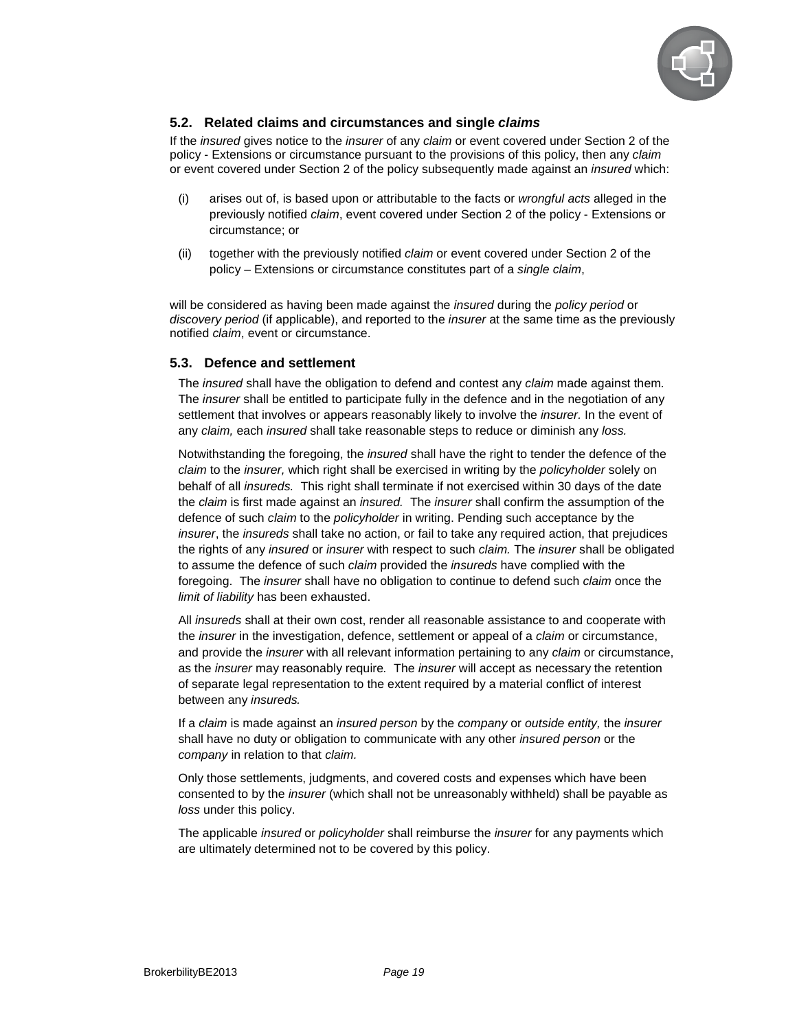

# **5.2. Related claims and circumstances and single claims**

If the *insured* gives notice to the *insurer* of any *claim* or event covered under Section 2 of the policy - Extensions or circumstance pursuant to the provisions of this policy, then any claim or event covered under Section 2 of the policy subsequently made against an insured which:

- (i) arises out of, is based upon or attributable to the facts or wrongful acts alleged in the previously notified claim, event covered under Section 2 of the policy - Extensions or circumstance; or
- (ii) together with the previously notified claim or event covered under Section 2 of the policy – Extensions or circumstance constitutes part of a single claim,

will be considered as having been made against the *insured* during the *policy period* or discovery period (if applicable), and reported to the *insurer* at the same time as the previously notified claim, event or circumstance.

#### **5.3. Defence and settlement**

The *insured* shall have the obligation to defend and contest any *claim* made against them. The insurer shall be entitled to participate fully in the defence and in the negotiation of any settlement that involves or appears reasonably likely to involve the *insurer*. In the event of any claim, each insured shall take reasonable steps to reduce or diminish any loss.

Notwithstanding the foregoing, the insured shall have the right to tender the defence of the claim to the insurer, which right shall be exercised in writing by the policyholder solely on behalf of all insureds. This right shall terminate if not exercised within 30 days of the date the claim is first made against an insured. The insurer shall confirm the assumption of the defence of such *claim* to the *policyholder* in writing. Pending such acceptance by the insurer, the insureds shall take no action, or fail to take any required action, that prejudices the rights of any *insured* or *insurer* with respect to such *claim*. The *insurer* shall be obligated to assume the defence of such claim provided the insureds have complied with the foregoing. The *insurer* shall have no obligation to continue to defend such *claim* once the limit of liability has been exhausted.

All *insureds* shall at their own cost, render all reasonable assistance to and cooperate with the *insurer* in the investigation, defence, settlement or appeal of a *claim* or circumstance, and provide the *insurer* with all relevant information pertaining to any *claim* or circumstance, as the *insurer* may reasonably require. The *insurer* will accept as necessary the retention of separate legal representation to the extent required by a material conflict of interest between any insureds.

If a claim is made against an insured person by the company or outside entity, the insurer shall have no duty or obligation to communicate with any other insured person or the company in relation to that claim.

Only those settlements, judgments, and covered costs and expenses which have been consented to by the insurer (which shall not be unreasonably withheld) shall be payable as loss under this policy.

The applicable *insured* or *policyholder* shall reimburse the *insurer* for any payments which are ultimately determined not to be covered by this policy.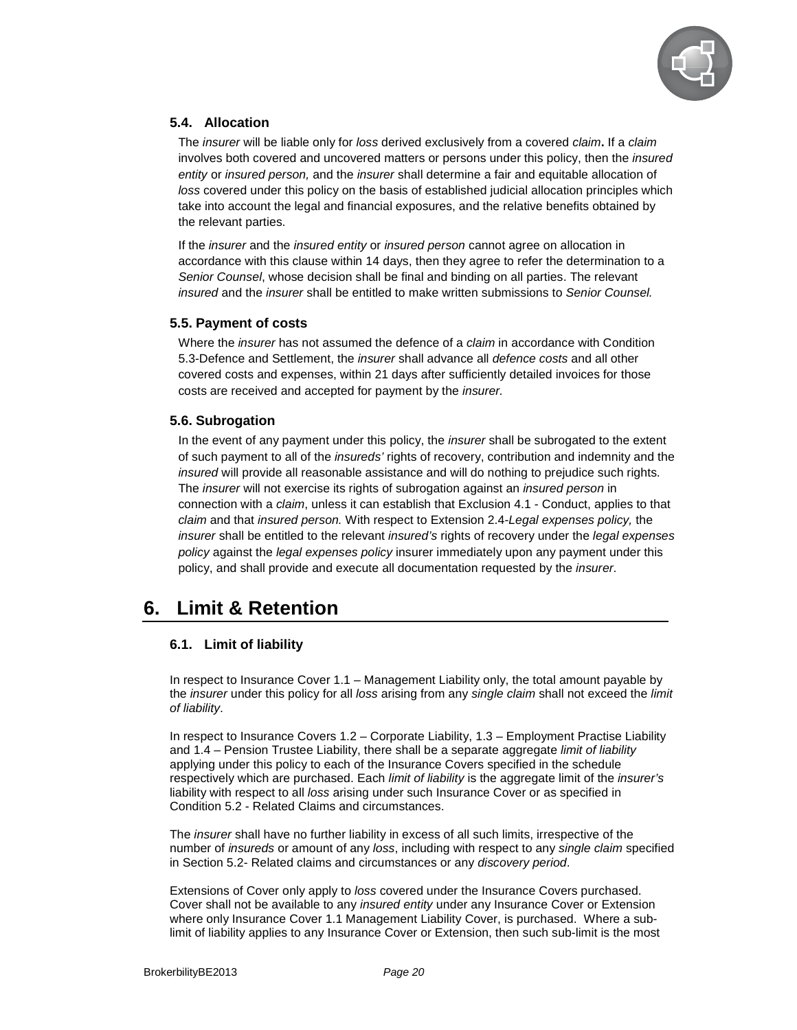

# **5.4. Allocation**

The insurer will be liable only for loss derived exclusively from a covered claim**.** If a claim involves both covered and uncovered matters or persons under this policy, then the insured entity or insured person, and the insurer shall determine a fair and equitable allocation of loss covered under this policy on the basis of established judicial allocation principles which take into account the legal and financial exposures, and the relative benefits obtained by the relevant parties.

If the insurer and the insured entity or insured person cannot agree on allocation in accordance with this clause within 14 days, then they agree to refer the determination to a Senior Counsel, whose decision shall be final and binding on all parties. The relevant insured and the insurer shall be entitled to make written submissions to Senior Counsel.

#### **5.5. Payment of costs**

Where the *insurer* has not assumed the defence of a *claim* in accordance with Condition 5.3-Defence and Settlement, the insurer shall advance all defence costs and all other covered costs and expenses, within 21 days after sufficiently detailed invoices for those costs are received and accepted for payment by the insurer.

#### **5.6. Subrogation**

In the event of any payment under this policy, the *insurer* shall be subrogated to the extent of such payment to all of the insureds' rights of recovery, contribution and indemnity and the insured will provide all reasonable assistance and will do nothing to prejudice such rights. The *insurer* will not exercise its rights of subrogation against an *insured person* in connection with a claim, unless it can establish that Exclusion 4.1 - Conduct, applies to that claim and that insured person. With respect to Extension 2.4-Legal expenses policy, the insurer shall be entitled to the relevant insured's rights of recovery under the legal expenses policy against the legal expenses policy insurer immediately upon any payment under this policy, and shall provide and execute all documentation requested by the insurer.

# **6. Limit & Retention**

# **6.1. Limit of liability**

In respect to Insurance Cover 1.1 – Management Liability only, the total amount payable by the insurer under this policy for all loss arising from any single claim shall not exceed the limit of liability.

In respect to Insurance Covers 1.2 – Corporate Liability, 1.3 – Employment Practise Liability and 1.4 – Pension Trustee Liability, there shall be a separate aggregate limit of liability applying under this policy to each of the Insurance Covers specified in the schedule respectively which are purchased. Each limit of liability is the aggregate limit of the insurer's liability with respect to all loss arising under such Insurance Cover or as specified in Condition 5.2 - Related Claims and circumstances.

The insurer shall have no further liability in excess of all such limits, irrespective of the number of insureds or amount of any loss, including with respect to any single claim specified in Section 5.2- Related claims and circumstances or any discovery period.

Extensions of Cover only apply to loss covered under the Insurance Covers purchased. Cover shall not be available to any insured entity under any Insurance Cover or Extension where only Insurance Cover 1.1 Management Liability Cover, is purchased. Where a sublimit of liability applies to any Insurance Cover or Extension, then such sub-limit is the most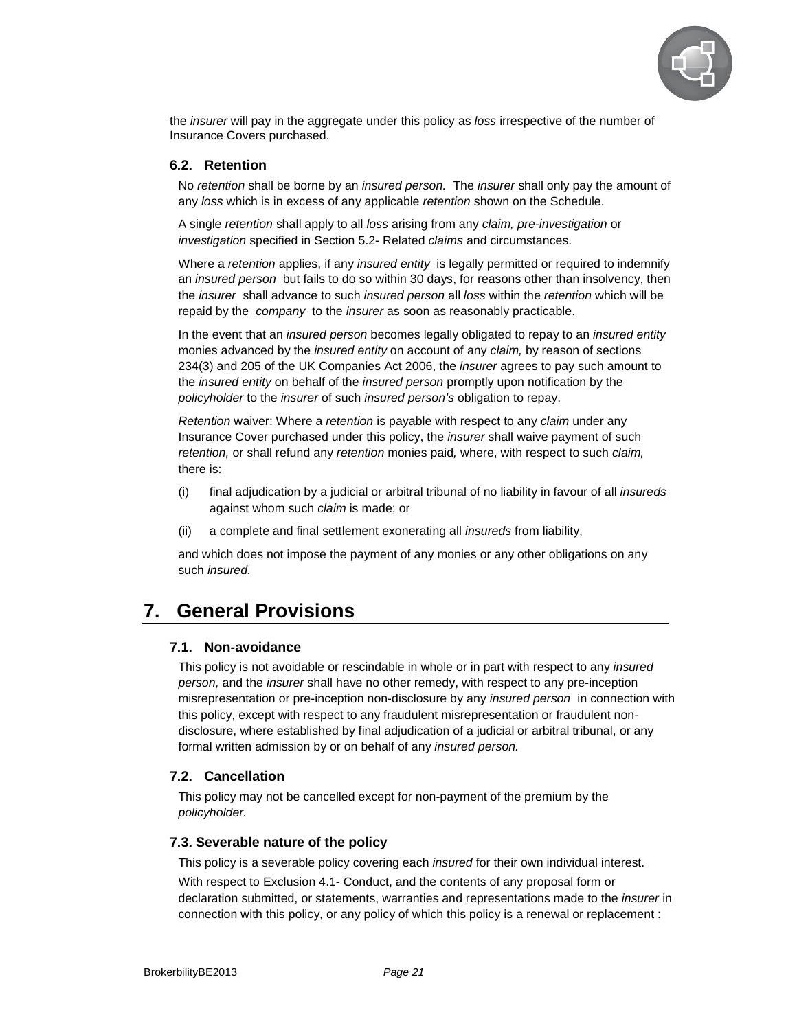

the *insurer* will pay in the aggregate under this policy as loss irrespective of the number of Insurance Covers purchased.

#### **6.2. Retention**

No retention shall be borne by an *insured person.* The *insurer* shall only pay the amount of any loss which is in excess of any applicable retention shown on the Schedule.

A single retention shall apply to all loss arising from any claim, pre-investigation or investigation specified in Section 5.2- Related claims and circumstances.

Where a retention applies, if any insured entity is legally permitted or required to indemnify an insured person but fails to do so within 30 days, for reasons other than insolvency, then the *insurer* shall advance to such *insured person* all *loss* within the *retention* which will be repaid by the *company* to the *insurer* as soon as reasonably practicable.

In the event that an insured person becomes legally obligated to repay to an insured entity monies advanced by the *insured entity* on account of any *claim*, by reason of sections 234(3) and 205 of the UK Companies Act 2006, the insurer agrees to pay such amount to the insured entity on behalf of the insured person promptly upon notification by the policyholder to the insurer of such insured person's obligation to repay.

Retention waiver: Where a retention is payable with respect to any claim under any Insurance Cover purchased under this policy, the insurer shall waive payment of such retention, or shall refund any retention monies paid, where, with respect to such claim, there is:

- (i) final adjudication by a judicial or arbitral tribunal of no liability in favour of all insureds against whom such *claim* is made; or
- (ii) a complete and final settlement exonerating all insureds from liability,

and which does not impose the payment of any monies or any other obligations on any such insured.

# **7. General Provisions**

#### **7.1. Non-avoidance**

This policy is not avoidable or rescindable in whole or in part with respect to any *insured* person, and the insurer shall have no other remedy, with respect to any pre-inception misrepresentation or pre-inception non-disclosure by any insured person in connection with this policy, except with respect to any fraudulent misrepresentation or fraudulent nondisclosure, where established by final adjudication of a judicial or arbitral tribunal, or any formal written admission by or on behalf of any insured person.

#### **7.2. Cancellation**

This policy may not be cancelled except for non-payment of the premium by the policyholder.

#### **7.3. Severable nature of the policy**

This policy is a severable policy covering each *insured* for their own individual interest.

With respect to Exclusion 4.1- Conduct, and the contents of any proposal form or declaration submitted, or statements, warranties and representations made to the insurer in connection with this policy, or any policy of which this policy is a renewal or replacement :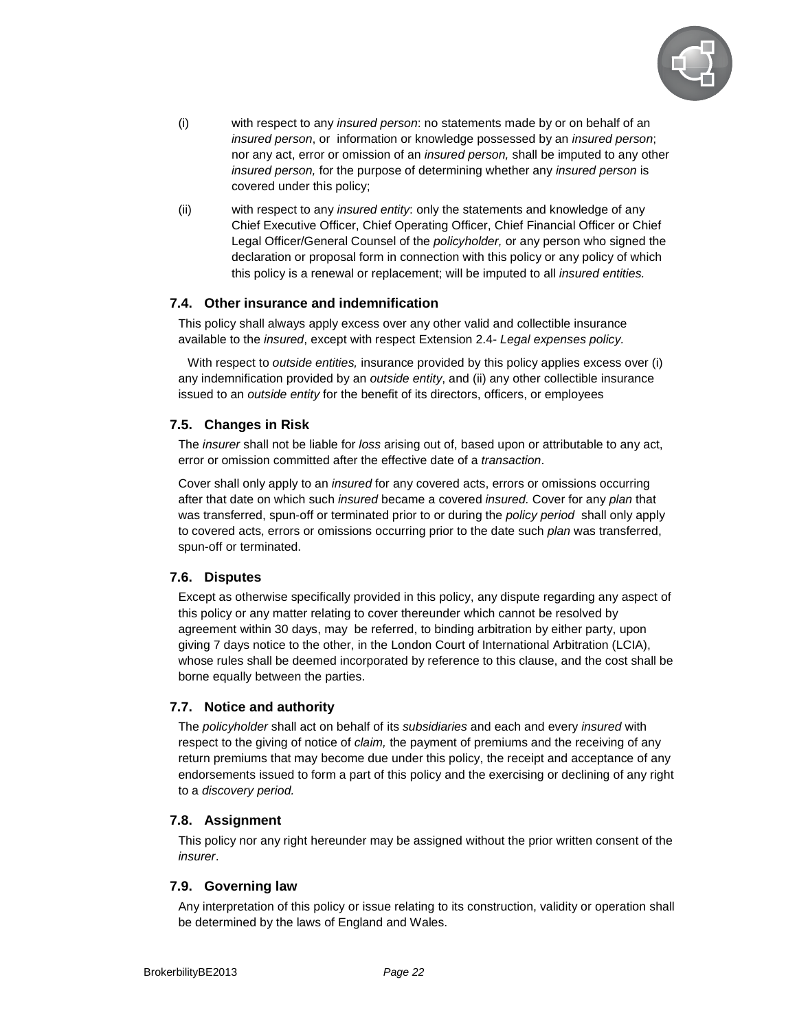

- (i) with respect to any insured person: no statements made by or on behalf of an insured person, or information or knowledge possessed by an insured person; nor any act, error or omission of an insured person, shall be imputed to any other insured person, for the purpose of determining whether any insured person is covered under this policy;
- (ii) with respect to any *insured entity*: only the statements and knowledge of any Chief Executive Officer, Chief Operating Officer, Chief Financial Officer or Chief Legal Officer/General Counsel of the policyholder, or any person who signed the declaration or proposal form in connection with this policy or any policy of which this policy is a renewal or replacement; will be imputed to all *insured entities*.

#### **7.4. Other insurance and indemnification**

This policy shall always apply excess over any other valid and collectible insurance available to the insured, except with respect Extension 2.4- Legal expenses policy.

With respect to outside entities, insurance provided by this policy applies excess over (i) any indemnification provided by an *outside entity*, and (ii) any other collectible insurance issued to an outside entity for the benefit of its directors, officers, or employees

#### **7.5. Changes in Risk**

The insurer shall not be liable for loss arising out of, based upon or attributable to any act, error or omission committed after the effective date of a transaction.

Cover shall only apply to an insured for any covered acts, errors or omissions occurring after that date on which such insured became a covered insured. Cover for any plan that was transferred, spun-off or terminated prior to or during the policy period shall only apply to covered acts, errors or omissions occurring prior to the date such *plan* was transferred, spun-off or terminated.

# **7.6. Disputes**

Except as otherwise specifically provided in this policy, any dispute regarding any aspect of this policy or any matter relating to cover thereunder which cannot be resolved by agreement within 30 days, may be referred, to binding arbitration by either party, upon giving 7 days notice to the other, in the London Court of International Arbitration (LCIA), whose rules shall be deemed incorporated by reference to this clause, and the cost shall be borne equally between the parties.

#### **7.7. Notice and authority**

The policyholder shall act on behalf of its subsidiaries and each and every insured with respect to the giving of notice of claim, the payment of premiums and the receiving of any return premiums that may become due under this policy, the receipt and acceptance of any endorsements issued to form a part of this policy and the exercising or declining of any right to a discovery period.

#### **7.8. Assignment**

This policy nor any right hereunder may be assigned without the prior written consent of the insurer.

#### **7.9. Governing law**

Any interpretation of this policy or issue relating to its construction, validity or operation shall be determined by the laws of England and Wales.